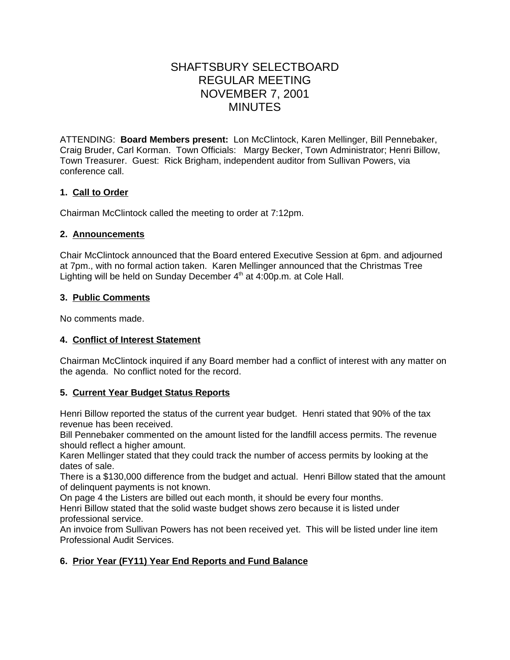# SHAFTSBURY SELECTBOARD REGULAR MEETING NOVEMBER 7, 2001 MINUTES

ATTENDING: **Board Members present:** Lon McClintock, Karen Mellinger, Bill Pennebaker, Craig Bruder, Carl Korman. Town Officials: Margy Becker, Town Administrator; Henri Billow, Town Treasurer. Guest: Rick Brigham, independent auditor from Sullivan Powers, via conference call.

# **1. Call to Order**

Chairman McClintock called the meeting to order at 7:12pm.

### **2. Announcements**

Chair McClintock announced that the Board entered Executive Session at 6pm. and adjourned at 7pm., with no formal action taken. Karen Mellinger announced that the Christmas Tree Lighting will be held on Sunday December  $4<sup>th</sup>$  at  $4:00p.m.$  at Cole Hall.

# **3. Public Comments**

No comments made.

# **4. Conflict of Interest Statement**

Chairman McClintock inquired if any Board member had a conflict of interest with any matter on the agenda. No conflict noted for the record.

# **5. Current Year Budget Status Reports**

Henri Billow reported the status of the current year budget. Henri stated that 90% of the tax revenue has been received.

Bill Pennebaker commented on the amount listed for the landfill access permits. The revenue should reflect a higher amount.

Karen Mellinger stated that they could track the number of access permits by looking at the dates of sale.

There is a \$130,000 difference from the budget and actual. Henri Billow stated that the amount of delinquent payments is not known.

On page 4 the Listers are billed out each month, it should be every four months.

Henri Billow stated that the solid waste budget shows zero because it is listed under professional service.

An invoice from Sullivan Powers has not been received yet. This will be listed under line item Professional Audit Services.

# **6. Prior Year (FY11) Year End Reports and Fund Balance**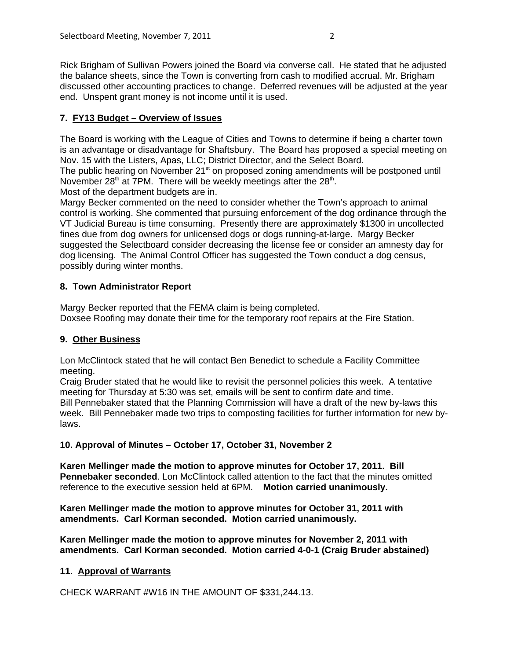Rick Brigham of Sullivan Powers joined the Board via converse call. He stated that he adjusted the balance sheets, since the Town is converting from cash to modified accrual. Mr. Brigham discussed other accounting practices to change. Deferred revenues will be adjusted at the year end. Unspent grant money is not income until it is used.

# **7. FY13 Budget – Overview of Issues**

The Board is working with the League of Cities and Towns to determine if being a charter town is an advantage or disadvantage for Shaftsbury. The Board has proposed a special meeting on Nov. 15 with the Listers, Apas, LLC; District Director, and the Select Board.

The public hearing on November 21<sup>st</sup> on proposed zoning amendments will be postponed until November 28<sup>th</sup> at 7PM. There will be weekly meetings after the  $28<sup>th</sup>$ .

Most of the department budgets are in.

Margy Becker commented on the need to consider whether the Town's approach to animal control is working. She commented that pursuing enforcement of the dog ordinance through the VT Judicial Bureau is time consuming. Presently there are approximately \$1300 in uncollected fines due from dog owners for unlicensed dogs or dogs running-at-large. Margy Becker suggested the Selectboard consider decreasing the license fee or consider an amnesty day for dog licensing. The Animal Control Officer has suggested the Town conduct a dog census, possibly during winter months.

# **8. Town Administrator Report**

Margy Becker reported that the FEMA claim is being completed. Doxsee Roofing may donate their time for the temporary roof repairs at the Fire Station.

# **9. Other Business**

Lon McClintock stated that he will contact Ben Benedict to schedule a Facility Committee meeting.

Craig Bruder stated that he would like to revisit the personnel policies this week. A tentative meeting for Thursday at 5:30 was set, emails will be sent to confirm date and time. Bill Pennebaker stated that the Planning Commission will have a draft of the new by-laws this week. Bill Pennebaker made two trips to composting facilities for further information for new bylaws.

# **10. Approval of Minutes – October 17, October 31, November 2**

**Karen Mellinger made the motion to approve minutes for October 17, 2011. Bill Pennebaker seconded**. Lon McClintock called attention to the fact that the minutes omitted reference to the executive session held at 6PM. **Motion carried unanimously.**

**Karen Mellinger made the motion to approve minutes for October 31, 2011 with amendments. Carl Korman seconded. Motion carried unanimously.**

**Karen Mellinger made the motion to approve minutes for November 2, 2011 with amendments. Carl Korman seconded. Motion carried 4-0-1 (Craig Bruder abstained)**

# **11. Approval of Warrants**

CHECK WARRANT #W16 IN THE AMOUNT OF \$331,244.13.